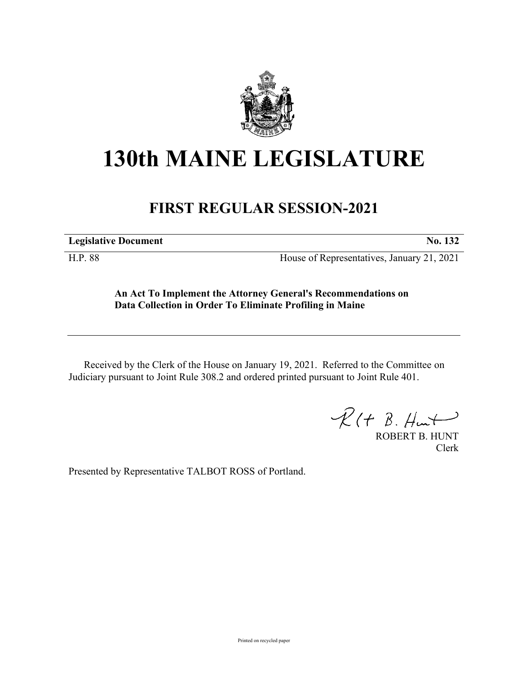

# **130th MAINE LEGISLATURE**

# **FIRST REGULAR SESSION-2021**

**Legislative Document No. 132**

H.P. 88 House of Representatives, January 21, 2021

## **An Act To Implement the Attorney General's Recommendations on Data Collection in Order To Eliminate Profiling in Maine**

Received by the Clerk of the House on January 19, 2021. Referred to the Committee on Judiciary pursuant to Joint Rule 308.2 and ordered printed pursuant to Joint Rule 401.

 $\mathcal{R}(t \; \mathcal{B}, \#m)$ 

ROBERT B. HUNT Clerk

Presented by Representative TALBOT ROSS of Portland.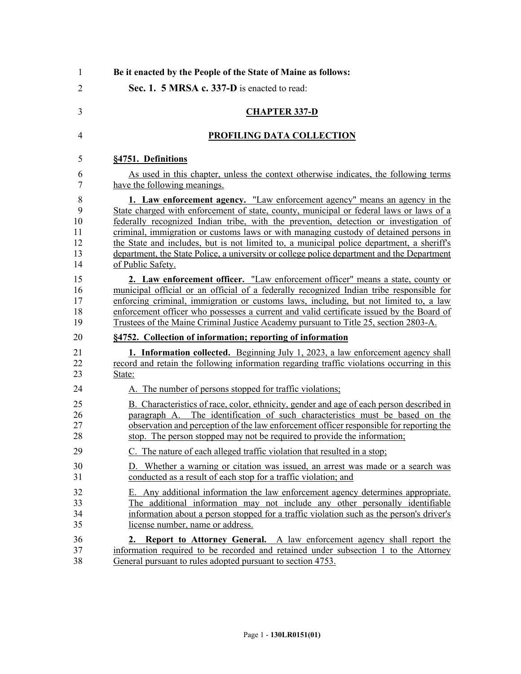| $\mathbf{1}$   | Be it enacted by the People of the State of Maine as follows:                              |
|----------------|--------------------------------------------------------------------------------------------|
| $\overline{2}$ | Sec. 1. 5 MRSA c. 337-D is enacted to read:                                                |
| 3              | <b>CHAPTER 337-D</b>                                                                       |
| 4              | PROFILING DATA COLLECTION                                                                  |
| 5              | §4751. Definitions                                                                         |
| 6              | As used in this chapter, unless the context otherwise indicates, the following terms       |
| 7              | have the following meanings.                                                               |
| 8              | 1. Law enforcement agency. "Law enforcement agency" means an agency in the                 |
| 9              | State charged with enforcement of state, county, municipal or federal laws or laws of a    |
| 10             | federally recognized Indian tribe, with the prevention, detection or investigation of      |
| 11             | criminal, immigration or customs laws or with managing custody of detained persons in      |
| 12             | the State and includes, but is not limited to, a municipal police department, a sheriff's  |
| 13             | department, the State Police, a university or college police department and the Department |
| 14             | of Public Safety.                                                                          |
| 15             | 2. Law enforcement officer. "Law enforcement officer" means a state, county or             |
| 16             | municipal official or an official of a federally recognized Indian tribe responsible for   |
| 17             | enforcing criminal, immigration or customs laws, including, but not limited to, a law      |
| 18             | enforcement officer who possesses a current and valid certificate issued by the Board of   |
| 19             | Trustees of the Maine Criminal Justice Academy pursuant to Title 25, section 2803-A.       |
| 20             | §4752. Collection of information; reporting of information                                 |
| 21             | <b>1. Information collected.</b> Beginning July 1, 2023, a law enforcement agency shall    |
| 22             | record and retain the following information regarding traffic violations occurring in this |
| 23             | State:                                                                                     |
| 24             | A. The number of persons stopped for traffic violations;                                   |
| 25             | B. Characteristics of race, color, ethnicity, gender and age of each person described in   |
| 26             | paragraph A. The identification of such characteristics must be based on the               |
| 27             | observation and perception of the law enforcement officer responsible for reporting the    |
| 28             | stop. The person stopped may not be required to provide the information;                   |
| 29             | C. The nature of each alleged traffic violation that resulted in a stop;                   |
| 30             | D. Whether a warning or citation was issued, an arrest was made or a search was            |
| 31             | conducted as a result of each stop for a traffic violation; and                            |
| 32             | E. Any additional information the law enforcement agency determines appropriate.           |
| 33             | The additional information may not include any other personally identifiable               |
| 34             | information about a person stopped for a traffic violation such as the person's driver's   |
| 35             | license number, name or address.                                                           |
| 36             | <b>2. Report to Attorney General.</b> A law enforcement agency shall report the            |
| 37             | information required to be recorded and retained under subsection 1 to the Attorney        |
| 38             | General pursuant to rules adopted pursuant to section 4753.                                |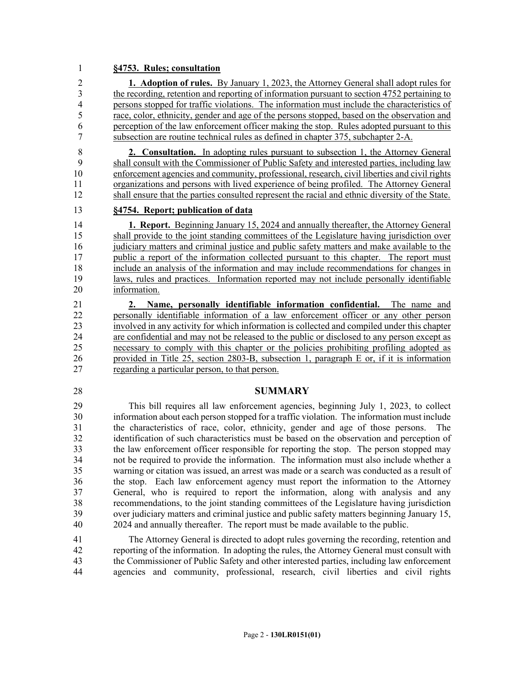#### 1 **§4753. Rules; consultation**

2 **1. Adoption of rules.** By January 1, 2023, the Attorney General shall adopt rules for 3 the recording, retention and reporting of information pursuant to section 4752 pertaining to 4 persons stopped for traffic violations. The information must include the characteristics of 5 race, color, ethnicity, gender and age of the persons stopped, based on the observation and 6 perception of the law enforcement officer making the stop. Rules adopted pursuant to this 7 subsection are routine technical rules as defined in chapter 375, subchapter 2-A.

8 **2. Consultation.** In adopting rules pursuant to subsection 1, the Attorney General 9 shall consult with the Commissioner of Public Safety and interested parties, including law 10 enforcement agencies and community, professional, research, civil liberties and civil rights 11 organizations and persons with lived experience of being profiled. The Attorney General 12 shall ensure that the parties consulted represent the racial and ethnic diversity of the State.

#### 13 **§4754. Report; publication of data**

14 **1. Report.** Beginning January 15, 2024 and annually thereafter, the Attorney General 15 shall provide to the joint standing committees of the Legislature having jurisdiction over 16 judiciary matters and criminal justice and public safety matters and make available to the 17 public a report of the information collected pursuant to this chapter. The report must 18 include an analysis of the information and may include recommendations for changes in 19 laws, rules and practices. Information reported may not include personally identifiable 20 information.

21 **2. Name, personally identifiable information confidential.** The name and 22 personally identifiable information of a law enforcement officer or any other person 23 involved in any activity for which information is collected and compiled under this chapter 24 are confidential and may not be released to the public or disclosed to any person except as 25 necessary to comply with this chapter or the policies prohibiting profiling adopted as 26 provided in Title 25, section 2803-B, subsection 1, paragraph E or, if it is information 27 regarding a particular person, to that person.

### 28 **SUMMARY**

29 This bill requires all law enforcement agencies, beginning July 1, 2023, to collect 30 information about each person stopped for a traffic violation. The information must include 31 the characteristics of race, color, ethnicity, gender and age of those persons. The 32 identification of such characteristics must be based on the observation and perception of 33 the law enforcement officer responsible for reporting the stop. The person stopped may 34 not be required to provide the information. The information must also include whether a 35 warning or citation was issued, an arrest was made or a search was conducted as a result of 36 the stop. Each law enforcement agency must report the information to the Attorney 37 General, who is required to report the information, along with analysis and any 38 recommendations, to the joint standing committees of the Legislature having jurisdiction 39 over judiciary matters and criminal justice and public safety matters beginning January 15, 40 2024 and annually thereafter. The report must be made available to the public.

41 The Attorney General is directed to adopt rules governing the recording, retention and 42 reporting of the information. In adopting the rules, the Attorney General must consult with 43 the Commissioner of Public Safety and other interested parties, including law enforcement 44 agencies and community, professional, research, civil liberties and civil rights